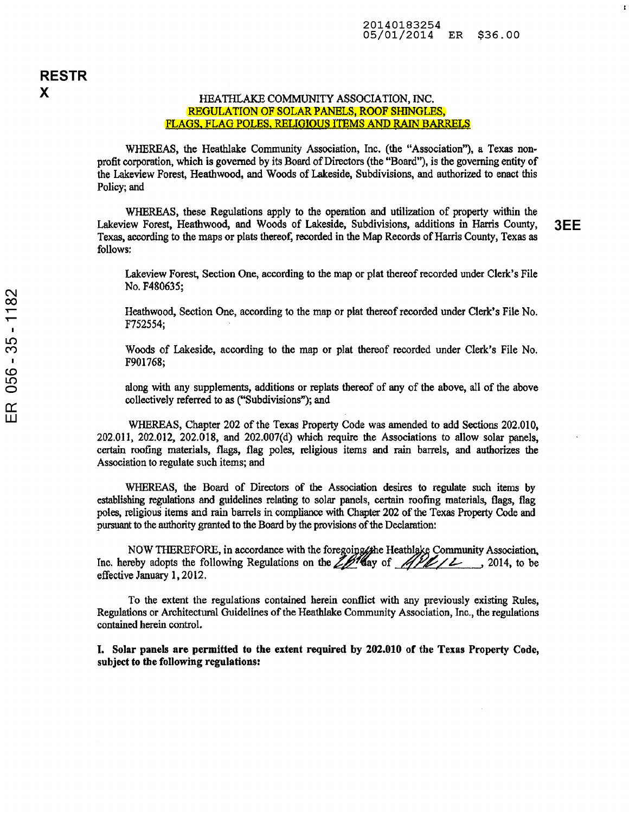## HEATHLAKE COMMUNITY ASSOCIATION, INC. REGULATION OF SOLAR PANELS, ROOF SHINGLES, FLAGS. FLAG POLES. RELIGIOUS ITEMS AND RAIN BARRELS

WHEREAS, the Heathlake Community Association, Inc. (the "Association"), a Texas non profit corporation, which is governed by its Board of Directors (the "Board"), is the governing entity of the Lakeview Forest, Heathwood, and Woods of Lakeside, Subdivisions, and authorized to enact this Policy; and

WHEREAS, these Regulations apply to the operation and utilization of property within the Lakeview Forest, Heathwood, and Woods of Lakeside, Subdivisions, additions in Harris County,  $3EE$ Texas, according to the maps or plats thereof, recorded in the Map Records of Harris County, Texas as follows:

f,

Lakeview Forest, Section One, according to the map or plat thereof recorded under Clerk's File No. F480635;

Heathwood, Section One, according to the map or plat thereof recorded under Clerk's File No. F752554;

Woods of Lakeside, according to the map or plat thereof recorded under Clerk's File No. F901768;

along with any supplements, additions or replats thereof of any of the above, all of the above collectively referred to as ("Subdivisions"); and

WHEREAS, Chapter 202 of the Texas Property Code was amended to add Sections 202.010,  $202.011$ ,  $202.012$ ,  $202.018$ , and  $202.007(d)$  which require the Associations to allow solar panels, certain roofing materials, flags, flag poles, religious items and rain barrels, and authorizes the Association to regulate such items; and

WHEREAS, the Board of Directors of the Association desires to regulate such items by establishing regulations and guidelines relating to solar panels, certain roofing materials, flags, flag poles, religious items and rain barrels in compliance with Chapter 202 of the Texas Property Code and pursuant to the authority granted to the Board by the provisions of the Declaration:

NOW THEREFORE, in accordance with the foregoing the Heathlake Community Association,<br>Inc. hereby adopts the following Regulations on the 2014 day of 1914, to be effective January 1, 2012,

To the extent the regulations contained herein conflict with any previously existing Rules, Regulations or Architectural Guidelines of the Heathlake Community Association, Inc., the regulations contained herein control.

I. Solar panels are permitted to the extent required by 202.010 of the Texas Property Code, subject to the following regulations: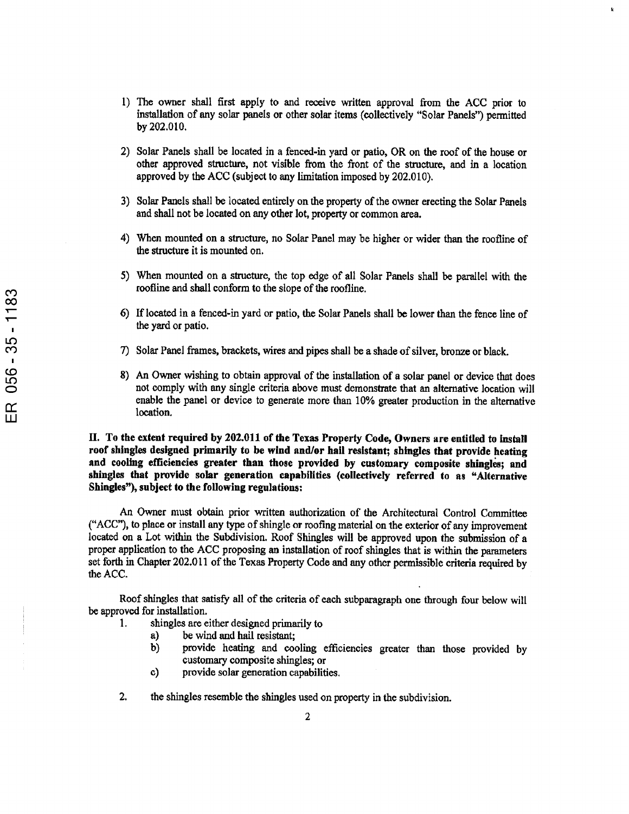- 1) The owner shall first apply to and receive written approval from the ACC prior to installation of any solar panels or other solar items (collectively "Solar Panels") permitted by 202.010.
- 2) Solar Panels shall be located in <sup>a</sup> fenced-in yard or patio, OR on the roof of the house or other approved structure, not visible from the front of the structure, and in <sup>a</sup> location approved by the ACC (subject to any limitation imposed by 202.010).
- 3) Solar Panels shall be located entirely on the property of the owner erecting the Solar Panels and shall not be located on any other lot, property or common area.
- 4) When mounted on <sup>a</sup> structure, no Solar Panel may be higher or wider than the roofline of the structure it is mounted on.
- 5) When mounted on <sup>a</sup> structure, the top edge of all Solar Panels shall be parallel with the roofline and shall conform to the slope of the roofline.
- 6) If located in <sup>a</sup> fenced-in yard or patio, the Solar Panels shall be lower than the fence line of the yard or patio.
- CO 7) Solar Panel frames, brackets, wires and pipes shall be <sup>a</sup> shade of silver, bronze or black.
- 8) An Owner wishing to obtain approval of the installation of <sup>a</sup> solar panel or device that does not comply with any single criteria above must demonstrate that an alternative location will enable the panel or device to generate more than 10% greater production in the alternative location.

II. To the extent required by 202.011 of the Texas Property Code, Owners are entitled to install roof shingles designed primarily to be wind and/or hail resistant; shingles that provide heating and cooling efficiencies greater than those provided by customary composite shingles; and shingles that provide solar generation capabilities (collectively referred to as "Alternative Shingles"), subject to the following regulations:

An Owner must obtain prior written authorization of the Architectural Control Committee ("ACC"), to place or install any type of shingle or roofing material on the exterior of any improvement located on <sup>a</sup> Lot within the Subdivision. Roof Shingles will be approved upon the submission of <sup>a</sup> proper application to the ACC proposing an installation of roof shingles that is within the parameters set forth in Chapter 202.011 of the Texas Property Code and any other permissible criteria required by the ACC.

Roof shingles that satisfy all of the criteria of each subparagraph one through four below will be approved for installation.

- 1. shingles are either designed primarily to
	- a) be wind and hail resistant;
	- b) provide heating and cooling efficiencies greater than those provided by customary composite shingles; or
	- c) provide solar generation capabilities.
- 2. the shingles resemble the shingles used on property in the subdivision.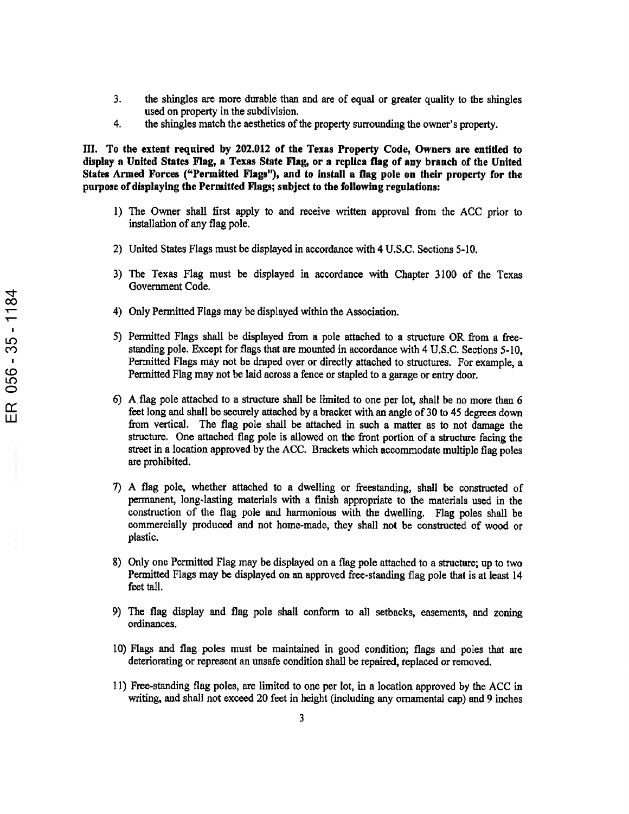- 3. the shingles are more durable than and are of equal or greater quality to the shingles used on property in the subdivision.
- 4. the shingles match the aesthetics of the property surrounding the owner's property.

HI. To the extent required by 202.012 of the Texas Property Code, Owners are entitled to display <sup>a</sup> United States Flag, <sup>a</sup> Texas State Flag, or <sup>a</sup> replica flag of any branch of the United States Armed Forces ("Permitted Flags"), and to install <sup>a</sup> flag pole on their property for the purpose of displaying the Permitted Flags; subject to the following regulations:

- 1) The Owner shall first apply to and receive written approval from the ACC prior to installation of any flag pole.
- 2) United States Flags must be displayed in accordance with 4 U.S.C. Sections 5-10.
- 3) The Texas Flag must be displayed in accordance with Chapter 3100 of the Texas Government Code.
- 4) Only Permitted Flags may be displayed within the Association.
- 5) Permitted Flags shall be displayed from <sup>a</sup> pole attached to <sup>a</sup> structure OR from <sup>a</sup> free standing pole. Except for flags that are mounted in accordance with 4 U.S.C. Sections 5-10, Permitted Flags may not be draped over or directly attached to structures. For example, <sup>a</sup> Permitted Flag may not be laid across <sup>a</sup> fence or stapled to <sup>a</sup> garage or entry door.
- 6) A flag pole attached to <sup>a</sup> structure shall be limited to one per lot, shall be no more than 6 feet long and shall be securely attached by <sup>a</sup> bracket with an angle of <sup>30</sup> to <sup>45</sup> degrees down from vertical. The flag pole shall be attached in such <sup>a</sup> matter as to not damage the structure. One attached flag pole is allowed on the front portion of <sup>a</sup> structure facing the street in <sup>a</sup> location approved by the ACC. Brackets which accommodate multiple flag poles are prohibited.
- 7) <sup>A</sup> flag pole, whether attached to <sup>a</sup> dwelling or freestanding, shall be constructed of permanent, long-lasting materials with <sup>a</sup> finish appropriate to the materials used in the construction of the flag pole and harmonious with the dwelling. Flag poles shall be commercially produced and not home-made, they shall not be constructed of wood or plastic.
- 8) Only one Permitted Flag may be displayed on <sup>a</sup> flag pole attached to <sup>a</sup> structure; up to two Permitted Flags may be displayed on an approved free-standing flag pole that is at least <sup>14</sup> feet tall.
- 9) The flag display and flag pole shall conform to all setbacks, easements, and zoning ordinances.
- 10) Flags and flag poles must be maintained in good condition; flags and poles that are deteriorating or represent an unsafe condition shall be repaired, replaced or removed.
- 11) Free-standing flag poles, are limited to one per lot, in <sup>a</sup> location approved by the ACC in writing, and shall not exceed 20 feet in height (including any ornamental cap) and 9 inches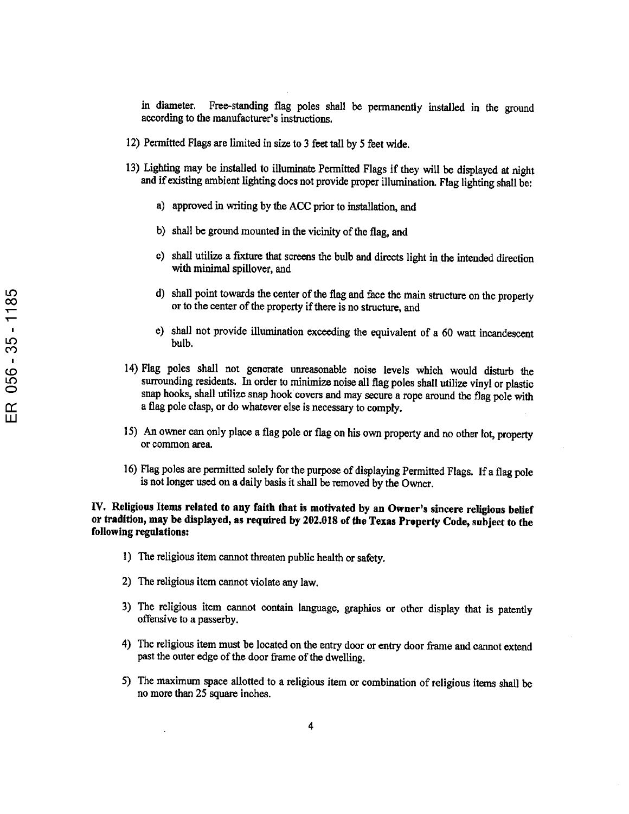in diameter. Free-standing flag poles shall be permanently installed in the ground according to the manufacturer's instructions.

- 12) Permitted Flags are limited in size to <sup>3</sup> feet tall by <sup>5</sup> feet wide.
- 13) Lighting may be installed to illuminate Permitted Flags if they will be displayed at night and ifexisting ambient lighting does not provide proper illumination. Flag lighting shall be:
	- a) approved in writing by the ACC prior to installation, and
	- b) shall be ground mounted in the vicinity of the flag, and
	- c) shall utilize <sup>a</sup> fixture that screens the bulb and directs light in the intended direction with minimal spillover, and
	- d) shall point towards the center of the flag and face the main structure on the property or to the center of the property if there is no structure, and
	- e) shall not provide illumination exceeding the equivalent of <sup>a</sup> <sup>60</sup> watt incandescent bulb.
- 14) Flag poles shall not generate unreasonable noise levels which would disturb the surrounding residents. In order to minimize noise all flag poles shall utilize vinyl or plastic snap hooks, shall utilize snap hook covers and may secure <sup>a</sup> rope around the flag pole with <sup>a</sup> flag pole clasp, or do whatever else is necessary to comply.
- 15) An owner can only place <sup>a</sup> flag pole or flag on his own property and no other lot, property or common area.
- 16) Flag poles are permitted solely for the purpose of displaying Permitted Flags. If <sup>a</sup> flag pole is not longer used on <sup>a</sup> daily basis it shall be removed by the Owner.

## IV. Religious Items related to any faith that is motivated by an Owner's sincere religious belief or tradition, may be displayed, as required by 202.018 of the Texas Property Code, subject to the following regulations:

- 1) The religious item cannot threaten public health or safety.
- 2) The religious item cannot violate any law.
- 3) The religious item cannot contain language, graphics or other display that is patently offensive to <sup>a</sup> passerby.
- 4) The religious item must be located on the entry door or entry door frame and cannot extend past the outer edge of the door frame of the dwelling.
- 5) The maximum space allotted to <sup>a</sup> religious item orcombination of religious items shall be no more than 25 square inches.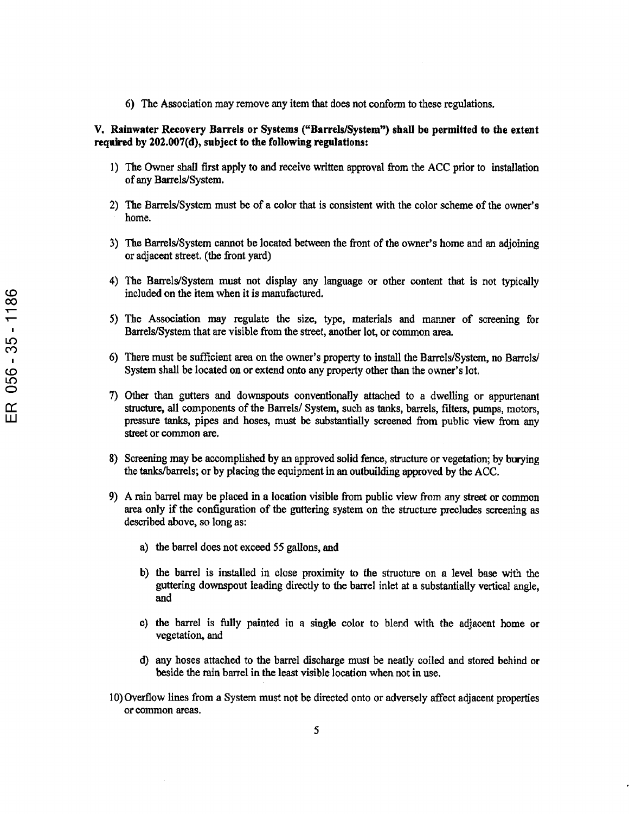6) The Association may remove any item that does not conform to these regulations.

## V. Rainwater Recovery Barrels or Systems ("Barrels/System") shall be permitted to the extent required by 202.007(d), subject to the following regulations:

- 1) The Owner shall first apply to and receive written approval from the ACC prior to installation of any Barrels/System.
- 2) The Barrels/System must be of <sup>a</sup> color that is consistent with the color scheme of the owner's home.
- 3) The Barrels/System cannot be located between the front of the owner's home and an adjoining or adjacent street, (the front yard)
- 4) The Barrels/System must not display any language or other content that is not typically included on the item when it is manufactured.
- 5) The Association may regulate the size, type, materials and manner of screening for Barrels/System that are visible from the street, another lot, or common area.
- 6) There must be sufficient area on the owner's property to install the Barrels/System, no Barrels/ System shall be located on or extend onto any property other than the owner's lot.
- 7) Other than gutters and downspouts conventionally attached to <sup>a</sup> dwelling or appurtenant structure, all components of the Barrels/ System, such as tanks, barrels, filters, pumps, motors, pressure tanks, pipes and hoses, must be substantially screened from public view from any street or common are.
- 8) Screening may be accomplished by an approved solid fence, structure or vegetation; by burying the tanks/barrels; or by placing the equipment in an outbuilding approved by the ACC.
- 9) A rain barrel may be placed in <sup>a</sup> location visible from public view from any street or common area only if the configuration of the guttering system on the structure precludes screening as described above, so long as:
	- a) the barrel does not exceed 55 gallons, and
	- b) the barrel is installed in close proximity to the structure on <sup>a</sup> level base with the guttering downspout leading directly to the barrel inlet at <sup>a</sup> substantially vertical angle, and
	- c) the barrel is fully painted in <sup>a</sup> single color to blend with the adjacent home or vegetation, and
	- d) any hoses attached to the barrel discharge must be neatly coiled and stored behind or beside the rain barrel in the least visible location when not in use.
- 10) Overflow lines from <sup>a</sup> System must not be directed onto or adversely affect adjacent properties or common areas.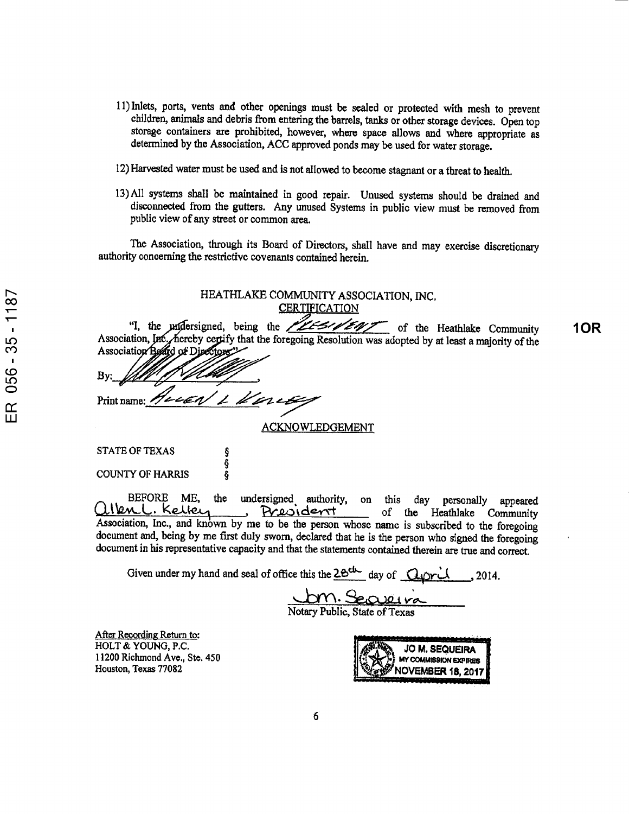- 11) Inlets, ports, vents and other openings must be sealed or protected with mesh to prevent children, animals and debris from entering the barrels, tanks or other storage devices. Open top storage containers are prohibited, however, where space allows and where appropriate as determined by the Association, ACC approved ponds may be used for water storage.
- 12) Harvested water must be used and is not allowed to become stagnant or <sup>a</sup> threat to health.
- 13) All systems shall be maintained in good repair. Unused systems should be drained and disconnected from the gutters. Any unused Systems in public view must be removed from public view of any street or common area.

The Association, through its Board of Directors, shall have and may exercise discretionary authority concerning the restrictive covenants contained herein.

| HEATHLAKE COMMUNITY ASSOCIATION, INC.                                                                                                                                                                |            |
|------------------------------------------------------------------------------------------------------------------------------------------------------------------------------------------------------|------------|
| <b>CERTIFICATION</b>                                                                                                                                                                                 |            |
| "I, the undersigned, being the <b>ELES WENT</b> of the Heathlake Community                                                                                                                           | <b>10R</b> |
| Association, Inc., hereby certify that the foregoing Resolution was adopted by at least a majority of the<br>Association Board of Directors"                                                         |            |
|                                                                                                                                                                                                      |            |
| By:                                                                                                                                                                                                  |            |
| Print name: Huckey 1 Vorces                                                                                                                                                                          |            |
|                                                                                                                                                                                                      |            |
| ACKNOWLEDGEMENT                                                                                                                                                                                      |            |
|                                                                                                                                                                                                      |            |
| <b>STATE OF TEXAS</b>                                                                                                                                                                                |            |
| <b>COUNTY OF HARRIS</b>                                                                                                                                                                              |            |
|                                                                                                                                                                                                      |            |
| <b>BEFORE</b><br>ME, the<br>undersigned authority, on this day personally<br>appeared                                                                                                                |            |
| len L. Kelley<br>Prevident<br>of the Heathlake Community                                                                                                                                             |            |
| Association, Inc., and known by me to be the person whose name is subscribed to the foregoing<br>document and, being by me first duly sworn, declared that he is the person who signed the foregoing |            |
|                                                                                                                                                                                                      |            |

document in his representative capacity and that the statements contained therein are true and correct.

Given under my hand and seal of office this the  $2e^{du}$  day of  $Quarti$ , 2014.

<u>Um. Secreu</u>

Notary Public, State of Texas

After Recording Return to: HOLT & YOUNG, P.C. 1 1200 Richmond Ave., Ste. 450 Houston, Texas 77082

JO M.SEQUEIRA MY COMMISSION EXPIRES NOVEMBER 18, 2017